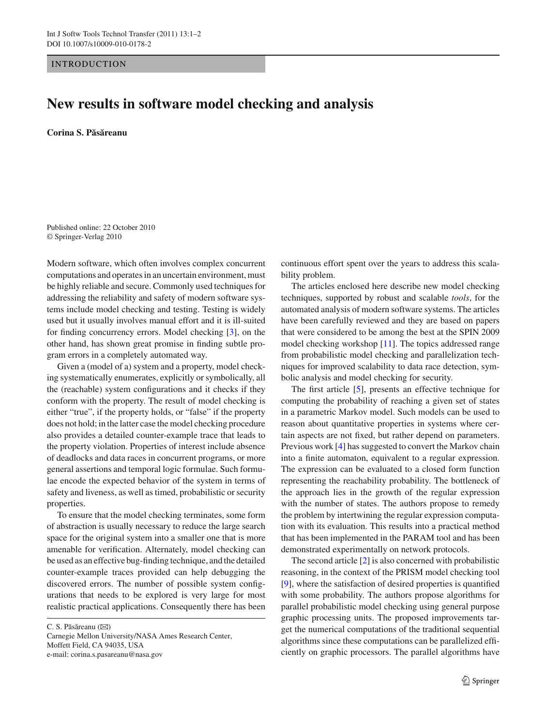INTRODUCTION

## **New results in software model checking and analysis**

**Corina S. P˘as˘areanu**

Published online: 22 October 2010 © Springer-Verlag 2010

Modern software, which often involves complex concurrent computations and operates in an uncertain environment, must be highly reliable and secure. Commonly used techniques for addressing the reliability and safety of modern software systems include model checking and testing. Testing is widely used but it usually involves manual effort and it is ill-suited for finding concurrency errors. Model checking [\[3\]](#page-1-0), on the other hand, has shown great promise in finding subtle program errors in a completely automated way.

Given a (model of a) system and a property, model checking systematically enumerates, explicitly or symbolically, all the (reachable) system configurations and it checks if they conform with the property. The result of model checking is either "true", if the property holds, or "false" if the property does not hold; in the latter case the model checking procedure also provides a detailed counter-example trace that leads to the property violation. Properties of interest include absence of deadlocks and data races in concurrent programs, or more general assertions and temporal logic formulae. Such formulae encode the expected behavior of the system in terms of safety and liveness, as well as timed, probabilistic or security properties.

To ensure that the model checking terminates, some form of abstraction is usually necessary to reduce the large search space for the original system into a smaller one that is more amenable for verification. Alternately, model checking can be used as an effective bug-finding technique, and the detailed counter-example traces provided can help debugging the discovered errors. The number of possible system configurations that needs to be explored is very large for most realistic practical applications. Consequently there has been

C. S. Păsăreanu (⊠)

Carnegie Mellon University/NASA Ames Research Center, Moffett Field, CA 94035, USA e-mail: corina.s.pasareanu@nasa.gov

continuous effort spent over the years to address this scalability problem.

The articles enclosed here describe new model checking techniques, supported by robust and scalable *tools*, for the automated analysis of modern software systems. The articles have been carefully reviewed and they are based on papers that were considered to be among the best at the SPIN 2009 model checking workshop [\[11](#page-1-1)]. The topics addressed range from probabilistic model checking and parallelization techniques for improved scalability to data race detection, symbolic analysis and model checking for security.

The first article [\[5\]](#page-1-2), presents an effective technique for computing the probability of reaching a given set of states in a parametric Markov model. Such models can be used to reason about quantitative properties in systems where certain aspects are not fixed, but rather depend on parameters. Previous work [\[4](#page-1-3)] has suggested to convert the Markov chain into a finite automaton, equivalent to a regular expression. The expression can be evaluated to a closed form function representing the reachability probability. The bottleneck of the approach lies in the growth of the regular expression with the number of states. The authors propose to remedy the problem by intertwining the regular expression computation with its evaluation. This results into a practical method that has been implemented in the PARAM tool and has been demonstrated experimentally on network protocols.

The second article [\[2\]](#page-1-4) is also concerned with probabilistic reasoning, in the context of the PRISM model checking tool [\[9](#page-1-5)], where the satisfaction of desired properties is quantified with some probability. The authors propose algorithms for parallel probabilistic model checking using general purpose graphic processing units. The proposed improvements target the numerical computations of the traditional sequential algorithms since these computations can be parallelized efficiently on graphic processors. The parallel algorithms have